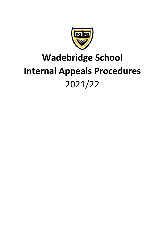

# **Wadebridge School Internal Appeals Procedures** 2021/22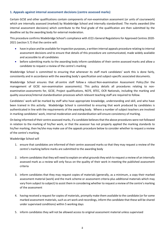## **1. Appeals against internal assessment decisions (centre assessed marks)**

Certain GCSE and other qualifications contain components of non-examination assessment (or units of coursework) which are internally assessed (marked) by Wadebridge School and internally standardised. The marks awarded (the internal assessment decisions) which contribute to the final grade of the qualification are then submitted by the deadline set by the awarding body for external moderation.

This procedure confirms Wadebridge School's compliance with JCQ's General Regulations for Approved Centres 2020- 2021 (section 5.7) that the centre will:

- have in place and be available for inspection purposes, a written internal appeals procedure relating to internal assessment decisions and to ensure that details of this procedure are communicated, made widely available and accessible to all candidates
- before submitting marks to the awarding body inform candidates of their centre assessed marks and allow a candidate to request a review of the centre's marking

Wadebridge School is committed to ensuring that whenever its staff mark candidates' work this is done fairly, consistently and in accordance with the awarding body's specification and subject-specific associated documents.

Wadebridge School ensures that all centre staff follow a robust Non-examination Assessment Policy (for the management of GCSE non-examination assessments). This policy details all procedures relating to nonexamination assessments for, GCSE, Project qualifications, NCFE, BTEC, OCR Nationals, including the marking and quality assurance/internal standardisation processes which relevant teaching staff are required to follow.

Candidates' work will be marked by staff who have appropriate knowledge, understanding and skill, and who have been trained in this activity. Wadebridge School is committed to ensuring that work produced by candidates is authenticated in line with the requirements of the awarding body. Where a number of subject teachers are involved in marking candidates' work, internal moderation and standardisation will ensure consistency of marking.

On being informed of their centre assessed marks, if a candidate believes that the above procedures were not followed in relation to the marking of his/her work, or that the assessor has not properly applied the marking standards to his/her marking, then he/she may make use of the appeals procedure below to consider whether to request a review of the centre's marking.

Wadebridge School will

- 1. ensure that candidates are informed of their centre assessed marks so that they may request a review of the centre's marking before marks are submitted to the awarding body
- 2. inform candidates that they will need to explain on what grounds they wish to request a review of an internally assessed mark as a review will only focus on the quality of their work in meeting the published assessment criteria
- 3. inform candidates that they may request copies of materials (generally, as a minimum, a copy their marked assessment material (work) and the mark scheme or assessment criteria plus additional materials which may vary from subject to subject) to assist them in considering whether to request a review of the centre's marking of the assessment
- 4. having received a request for copies of materials, promptly make them available to the candidate (or for some marked assessment materials, such as art work and recordings, inform the candidate that these will be shared under supervised conditions) within 5 working days
- 5. inform candidates they will not be allowed access to original assessment material unless supervised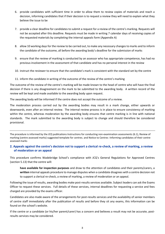- 6. provide candidates with sufficient time in order to allow them to review copies of materials and reach a decision, informing candidates that if their decision is to request a review they will need to explain what they believe the issue to be
- 7. provide a clear deadline for candidates to submit a request for a review of the centre's marking. Requests will not be accepted after this deadline. Requests must be made in writing 7 calendar days of receiving copies of the requested materials by completing the internal appeals form (Appendix A)
- 8. allow 10 working days for the review to be carried out, to make any necessary changes to marks and to inform the candidate of the outcome, all before the awarding body's deadline for the submission of marks
- 9. ensure that the review of marking is conducted by an assessor who has appropriate competence, has had no previous involvement in the assessment of that candidate and has no personal interest in the review
- 10. instruct the reviewer to ensure that the candidate's mark is consistent with the standard set by the centre
- 11. inform the candidate in writing of the outcome of the review of the centre's marking

The outcome of the review of the centre's marking will be made known to the head of centre who will have the final decision if there is any disagreement on the mark to be submitted to the awarding body. A written record of the review will be kept and made available to the awarding body upon request.

The awarding body will be informed if the centre does not accept the outcome of a review.

The moderation process carried out by the awarding bodies may result in a mark change, either upwards or downwards, even after an internal review. The internal review process is in place to ensure consistency of marking within the centre, whereas moderation by the awarding body ensures that centre marking is in line with national standards. The mark submitted to the awarding body is subject to change and should therefore be considered provisional.

The procedure is informed by the JCQ publications [Instructions for conducting non-examination assessments](https://www.jcq.org.uk/exams-office/non-examination-assessments) (6.1), [Review of](https://www.jcq.org.uk/exams-office/non-examination-assessments)  [marking \(centre assessed marks\) suggested template for centres.](https://www.jcq.org.uk/exams-office/non-examination-assessments) and Notice to Centres [-Informing candidates of their centre](https://www.jcq.org.uk/exams-office/non-examination-assessments)  [assessed marks](https://www.jcq.org.uk/exams-office/non-examination-assessments)

### **2. Appeals against the centre's decision not to support a clerical re-check, a review of marking, a review of moderation or an appeal**

This procedure confirms Wadebridge School's compliance with JCQ's General Regulations for Approved Centres (section 5.13) that the centre will:

**have available for inspection purposes** and draw to the attention of candidates and their parents/carers, a **written** internal appeals procedure to manage disputes when a candidate disagrees with a centre decision not to support a clerical re-check, a review of marking, a review of moderation or an appeal.

Following the issue of results, awarding bodies make post-results services available. Subject leaders can ask the Exams Officer to request these services. Full details of these services, internal deadlines for requesting a service and fees charged are provided by the exams officer.

Candidates are also made aware of the arrangements for post-results services and the availability of senior members of centre staff immediately after the publication of results and before they sit any exams, this information can be found on the school's website.

If the centre or a candidate (or his/her parent/carer) has a concern and believes a result may not be accurate, postresults services may be considered.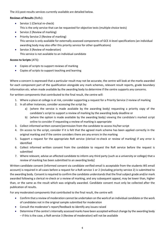The JCQ post-results services currently available are detailed below.

## **Reviews of Results** (RoRs):

- Service 1 (Clerical re-check) This is the only service that can be requested for objective tests (multiple choice tests)
- Service 2 (Review of marking)
- Priority Service 2 (Review of marking) This service is only available for externally assessed components of GCE A-level specifications (an individual awarding body may also offer this priority service for other qualifications)
- Service 3 (Review of moderation) This service is not available to an individual candidate

# **Access to Scripts** (ATS):

- Copies of scripts to support reviews of marking
- Copies of scripts to support teaching and learning

Where a concern is expressed that a particular result may not be accurate, the centre will look at the marks awarded for each component part of the qualification alongside any mark schemes, relevant result reports, grade boundary information etc. when made available by the awarding body to determine if the centre supports any concerns.

For written components that contributed to the final result, the centre will:

- 1. Where a place at college is at risk, consider supporting a request for a Priority Service 2 review of marking
- 2. In all other instances, consider accessing the script by:
	- a) (where the service is made available by the awarding body) requesting a priority copy of the candidate's script to support a review of marking by the awarding body deadline or
	- b) (where the option is made available by the awarding body) viewing the candidate's marked script online to consider if requesting a review of marking is appropriate
- 3. Collect informed written consent/permission from the candidate to access his/her script
- 4. On access to the script, consider if it is felt that the agreed mark scheme has been applied correctly in the original marking and if the centre considers there are any errors in the marking
- 5. Support a request for the appropriate RoR service (clerical re-check or review of marking) if any error is identified
- 6. Collect informed written consent from the candidate to request the RoR service before the request is submitted
- 7. Where relevant, advise an affected candidate to inform any third party (such as a university or college) that a review of marking has been submitted to an awarding body]

Written candidate consent (informed consent via candidate verified email is acceptable from the students WS email account) is required in all cases before a request for a RoR service 1 or 2 (including priority service 2) is submitted to the awarding body. Consent is required to confirm the candidate understands that the final subject grade and/or mark awarded following a clerical re-check or a review of marking, and any subsequent appeal, may be lower than, higher than, or the same as the result which was originally awarded. Candidate consent must only be collected after the publication of results.

For any moderated components that contributed to the final result, the centre will:

- Confirm that a review of moderation cannot be undertaken on the work of an individual candidate or the work of candidates not in the original sample submitted for moderation
- Consult the moderator's report/feedback to identify any issues raised
- Determine if the centre's internally assessed marks have been accepted without change by the awarding body – if this is the case, a RoR service 3 (Review of moderation) will not be available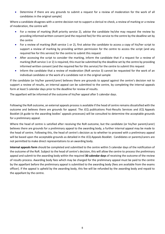• Determine if there are any grounds to submit a request for a review of moderation for the work of all candidates in the original sample]

Where a candidate disagrees with a centre decision not to support a clerical re-check, a review of marking or a review of moderation, the centre will:

- For a review of marking (RoR priority service 2), advise the candidate he/she may request the review by providing informed written consent (and the required fee) for this service to the centre by the deadline set by the centre
- For a review of marking (RoR service 1 or 2), first advise the candidate to access a copy of his/her script to support a review of marking by providing written permission for the centre to access the script (and any required fee for this service) for the centre to submit this request
- After accessing the script to consider the marking, inform the candidate that if a request for a review of marking (RoR service 1 or 2) is required, this must be submitted by the deadline set by the centre by providing informed written consent (and the required fee for this service) for the centre to submit this request
- Inform the candidate that a review of moderation (RoR service 3) cannot be requested for the work of an individual candidate or the work of a candidate not in the original sample

If the candidate (or his/her parent/carer) believes there are grounds to appeal against the centre's decision not to support a review of results, an internal appeal can be submitted to the centre, by completing the internal appeals form at least 5 calendar days prior to the deadline for review of results.

The appellant will be informed of the outcome of his/her appeal after 5 calendar days.

Following the RoR outcome, an external appeals process is available if the head of centre remains dissatisfied with the outcome and believes there are grounds for appeal. The JCQ publications Post-Results Services and JCQ Appeals Booklet (A guide to the awarding bodies' appeals processes) will be consulted to determine the acceptable grounds for a preliminary appeal.

Where the head of centre is satisfied after receiving the RoR outcome, but the candidate (or his/her parent/carer) believes there are grounds for a preliminary appeal to the awarding body, a further internal appeal may be made to the head of centre. Following this, the head of centre's decision as to whether to proceed with a preliminary appeal will be based upon the acceptable grounds as detailed in the JCQ Appeals Booklet. Candidates or parents/carers are not permitted to make direct representations to an awarding body.

**Internal appeals form** should be completed and submitted to the centre within 5 calendar days of the notification of the outcome of the RoR. Subject to the head of centre's decision, this will allow the centre to process the preliminary appeal and submit to the awarding body within the required **30 calendar days** of receiving the outcome of the review of results process. Awarding body fees which may be charged for the preliminary appeal must be paid to the centre by the appellant before the preliminary appeal is submitted to the awarding body (fees are available from the exams officer). If the appeal is upheld by the awarding body, this fee will be refunded by the awarding body and repaid to the appellant by the centre.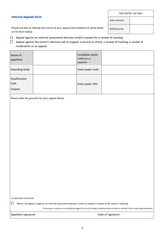#### **Internal Appeals form**

Date received

Reference No.

Please tick box to indicate the nature of your appeal and complete all white boxes on the form below

- $\Box$  Appeal against an internal assessment decision and/or request for a review of marking
- $\Box$  Appeal against the centre's decision not to support a clerical re-check, a review of marking, a review of moderation or an appeal

| Name of<br>appellant             | Candidate name<br>if different to<br>appellant |  |
|----------------------------------|------------------------------------------------|--|
| Awarding body                    | Exam paper code                                |  |
| Qualification<br>type<br>Subject | Exam paper title                               |  |

Please state the grounds for your appeal below:

(If applicable, tick below)

Where my appeal is against an internal assessment decision I wish to request a review of the centre's marking

If necessary, continue on an additional page if this form is being completed electronically or overleaf if hard copy being completed

Appellant signature:  $\Box$  Date of signature: